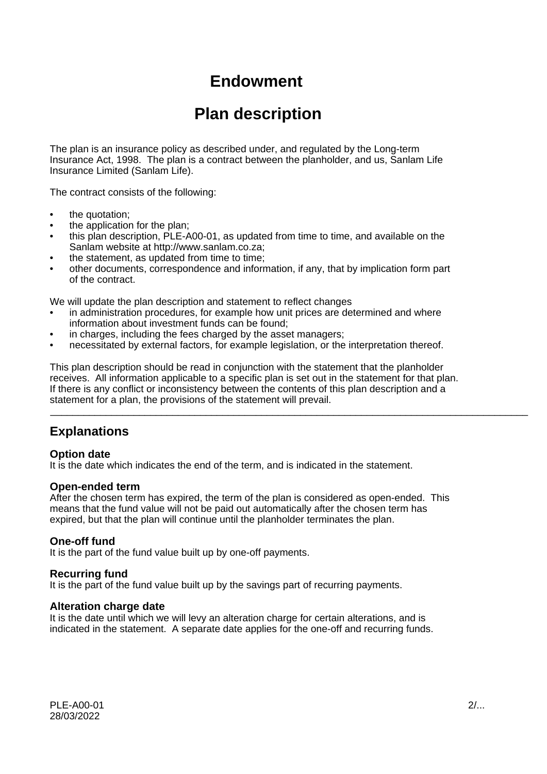# **Endowment**

# **Plan description**

The plan is an insurance policy as described under, and regulated by the Long-term Insurance Act, 1998. The plan is a contract between the planholder, and us, Sanlam Life Insurance Limited (Sanlam Life).

The contract consists of the following:

- the quotation;
- the application for the plan;
- this plan description, PLE-A00-01, as updated from time to time, and available on the Sanlam website at http://www.sanlam.co.za;
- the statement, as updated from time to time;
- other documents, correspondence and information, if any, that by implication form part of the contract.

We will update the plan description and statement to reflect changes

- in administration procedures, for example how unit prices are determined and where information about investment funds can be found;
- in charges, including the fees charged by the asset managers;
- necessitated by external factors, for example legislation, or the interpretation thereof.

This plan description should be read in conjunction with the statement that the planholder receives. All information applicable to a specific plan is set out in the statement for that plan. If there is any conflict or inconsistency between the contents of this plan description and a statement for a plan, the provisions of the statement will prevail.

\_\_\_\_\_\_\_\_\_\_\_\_\_\_\_\_\_\_\_\_\_\_\_\_\_\_\_\_\_\_\_\_\_\_\_\_\_\_\_\_\_\_\_\_\_\_\_\_\_\_\_\_\_\_\_\_\_\_\_\_\_\_\_\_\_\_\_\_\_\_\_\_\_\_\_\_\_\_\_\_\_\_\_\_\_\_

# **Explanations**

### **Option date**

It is the date which indicates the end of the term, and is indicated in the statement.

#### **Open-ended term**

After the chosen term has expired, the term of the plan is considered as open-ended. This means that the fund value will not be paid out automatically after the chosen term has expired, but that the plan will continue until the planholder terminates the plan.

### **One-off fund**

It is the part of the fund value built up by one-off payments.

### **Recurring fund**

It is the part of the fund value built up by the savings part of recurring payments.

### **Alteration charge date**

It is the date until which we will levy an alteration charge for certain alterations, and is indicated in the statement. A separate date applies for the one-off and recurring funds.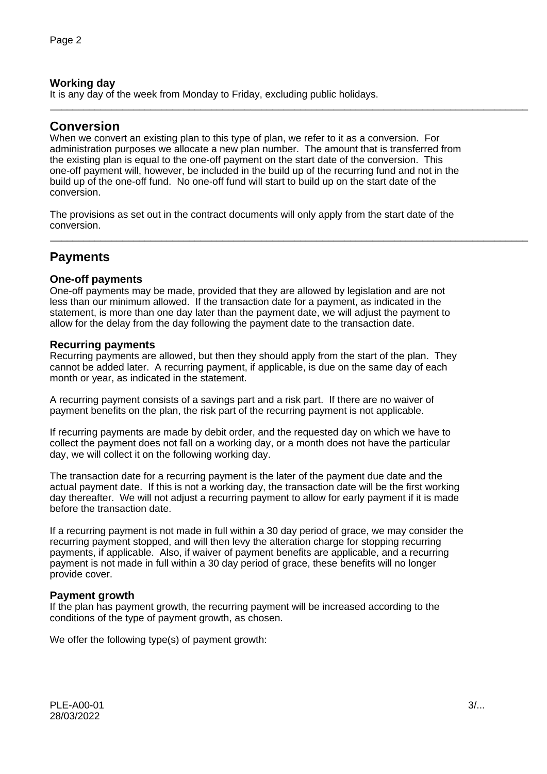### **Working day**

It is any day of the week from Monday to Friday, excluding public holidays.

### **Conversion**

When we convert an existing plan to this type of plan, we refer to it as a conversion. For administration purposes we allocate a new plan number. The amount that is transferred from the existing plan is equal to the one-off payment on the start date of the conversion. This one-off payment will, however, be included in the build up of the recurring fund and not in the build up of the one-off fund. No one-off fund will start to build up on the start date of the conversion.

\_\_\_\_\_\_\_\_\_\_\_\_\_\_\_\_\_\_\_\_\_\_\_\_\_\_\_\_\_\_\_\_\_\_\_\_\_\_\_\_\_\_\_\_\_\_\_\_\_\_\_\_\_\_\_\_\_\_\_\_\_\_\_\_\_\_\_\_\_\_\_\_\_\_\_\_\_\_\_\_\_\_\_\_\_\_

\_\_\_\_\_\_\_\_\_\_\_\_\_\_\_\_\_\_\_\_\_\_\_\_\_\_\_\_\_\_\_\_\_\_\_\_\_\_\_\_\_\_\_\_\_\_\_\_\_\_\_\_\_\_\_\_\_\_\_\_\_\_\_\_\_\_\_\_\_\_\_\_\_\_\_\_\_\_\_\_\_\_\_\_\_\_

The provisions as set out in the contract documents will only apply from the start date of the conversion.

# **Payments**

### **One-off payments**

One-off payments may be made, provided that they are allowed by legislation and are not less than our minimum allowed. If the transaction date for a payment, as indicated in the statement, is more than one day later than the payment date, we will adjust the payment to allow for the delay from the day following the payment date to the transaction date.

#### **Recurring payments**

Recurring payments are allowed, but then they should apply from the start of the plan. They cannot be added later. A recurring payment, if applicable, is due on the same day of each month or year, as indicated in the statement.

A recurring payment consists of a savings part and a risk part. If there are no waiver of payment benefits on the plan, the risk part of the recurring payment is not applicable.

If recurring payments are made by debit order, and the requested day on which we have to collect the payment does not fall on a working day, or a month does not have the particular day, we will collect it on the following working day.

The transaction date for a recurring payment is the later of the payment due date and the actual payment date. If this is not a working day, the transaction date will be the first working day thereafter. We will not adjust a recurring payment to allow for early payment if it is made before the transaction date.

If a recurring payment is not made in full within a 30 day period of grace, we may consider the recurring payment stopped, and will then levy the alteration charge for stopping recurring payments, if applicable. Also, if waiver of payment benefits are applicable, and a recurring payment is not made in full within a 30 day period of grace, these benefits will no longer provide cover.

### **Payment growth**

If the plan has payment growth, the recurring payment will be increased according to the conditions of the type of payment growth, as chosen.

We offer the following type(s) of payment growth: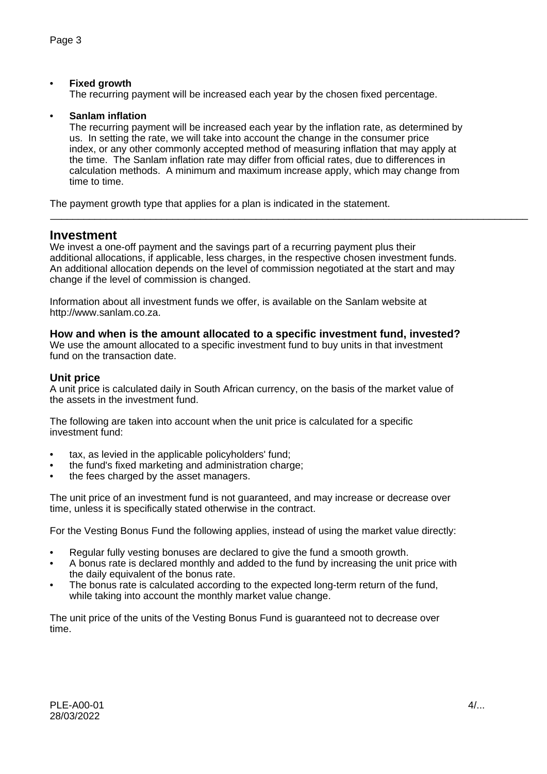### • **Fixed growth**

The recurring payment will be increased each year by the chosen fixed percentage.

#### • **Sanlam inflation**

The recurring payment will be increased each year by the inflation rate, as determined by us. In setting the rate, we will take into account the change in the consumer price index, or any other commonly accepted method of measuring inflation that may apply at the time. The Sanlam inflation rate may differ from official rates, due to differences in calculation methods. A minimum and maximum increase apply, which may change from time to time.

\_\_\_\_\_\_\_\_\_\_\_\_\_\_\_\_\_\_\_\_\_\_\_\_\_\_\_\_\_\_\_\_\_\_\_\_\_\_\_\_\_\_\_\_\_\_\_\_\_\_\_\_\_\_\_\_\_\_\_\_\_\_\_\_\_\_\_\_\_\_\_\_\_\_\_\_\_\_\_\_\_\_\_\_\_\_

The payment growth type that applies for a plan is indicated in the statement.

### **Investment**

We invest a one-off payment and the savings part of a recurring payment plus their additional allocations, if applicable, less charges, in the respective chosen investment funds. An additional allocation depends on the level of commission negotiated at the start and may change if the level of commission is changed.

Information about all investment funds we offer, is available on the Sanlam website at http://www.sanlam.co.za.

#### **How and when is the amount allocated to a specific investment fund, invested?**

We use the amount allocated to a specific investment fund to buy units in that investment fund on the transaction date.

### **Unit price**

A unit price is calculated daily in South African currency, on the basis of the market value of the assets in the investment fund.

The following are taken into account when the unit price is calculated for a specific investment fund:

- tax, as levied in the applicable policyholders' fund;
- the fund's fixed marketing and administration charge;
- the fees charged by the asset managers.

The unit price of an investment fund is not guaranteed, and may increase or decrease over time, unless it is specifically stated otherwise in the contract.

For the Vesting Bonus Fund the following applies, instead of using the market value directly:

- Regular fully vesting bonuses are declared to give the fund a smooth growth.
- A bonus rate is declared monthly and added to the fund by increasing the unit price with the daily equivalent of the bonus rate.
- The bonus rate is calculated according to the expected long-term return of the fund, while taking into account the monthly market value change.

The unit price of the units of the Vesting Bonus Fund is guaranteed not to decrease over time.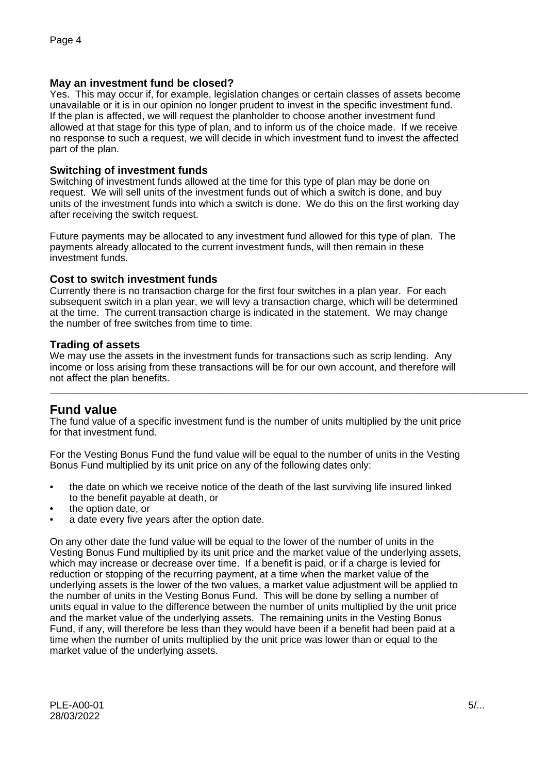### **May an investment fund be closed?**

Yes. This may occur if, for example, legislation changes or certain classes of assets become unavailable or it is in our opinion no longer prudent to invest in the specific investment fund. If the plan is affected, we will request the planholder to choose another investment fund allowed at that stage for this type of plan, and to inform us of the choice made. If we receive no response to such a request, we will decide in which investment fund to invest the affected part of the plan.

### **Switching of investment funds**

Switching of investment funds allowed at the time for this type of plan may be done on request. We will sell units of the investment funds out of which a switch is done, and buy units of the investment funds into which a switch is done. We do this on the first working day after receiving the switch request.

Future payments may be allocated to any investment fund allowed for this type of plan. The payments already allocated to the current investment funds, will then remain in these investment funds.

### **Cost to switch investment funds**

Currently there is no transaction charge for the first four switches in a plan year. For each subsequent switch in a plan year, we will levy a transaction charge, which will be determined at the time. The current transaction charge is indicated in the statement. We may change the number of free switches from time to time.

### **Trading of assets**

We may use the assets in the investment funds for transactions such as scrip lending. Any income or loss arising from these transactions will be for our own account, and therefore will not affect the plan benefits.

\_\_\_\_\_\_\_\_\_\_\_\_\_\_\_\_\_\_\_\_\_\_\_\_\_\_\_\_\_\_\_\_\_\_\_\_\_\_\_\_\_\_\_\_\_\_\_\_\_\_\_\_\_\_\_\_\_\_\_\_\_\_\_\_\_\_\_\_\_\_\_\_\_\_\_\_\_\_\_\_\_\_\_\_\_\_

# **Fund value**

The fund value of a specific investment fund is the number of units multiplied by the unit price for that investment fund.

For the Vesting Bonus Fund the fund value will be equal to the number of units in the Vesting Bonus Fund multiplied by its unit price on any of the following dates only:

- the date on which we receive notice of the death of the last surviving life insured linked to the benefit payable at death, or
- the option date, or
- a date every five years after the option date.

On any other date the fund value will be equal to the lower of the number of units in the Vesting Bonus Fund multiplied by its unit price and the market value of the underlying assets, which may increase or decrease over time. If a benefit is paid, or if a charge is levied for reduction or stopping of the recurring payment, at a time when the market value of the underlying assets is the lower of the two values, a market value adjustment will be applied to the number of units in the Vesting Bonus Fund. This will be done by selling a number of units equal in value to the difference between the number of units multiplied by the unit price and the market value of the underlying assets. The remaining units in the Vesting Bonus Fund, if any, will therefore be less than they would have been if a benefit had been paid at a time when the number of units multiplied by the unit price was lower than or equal to the market value of the underlying assets.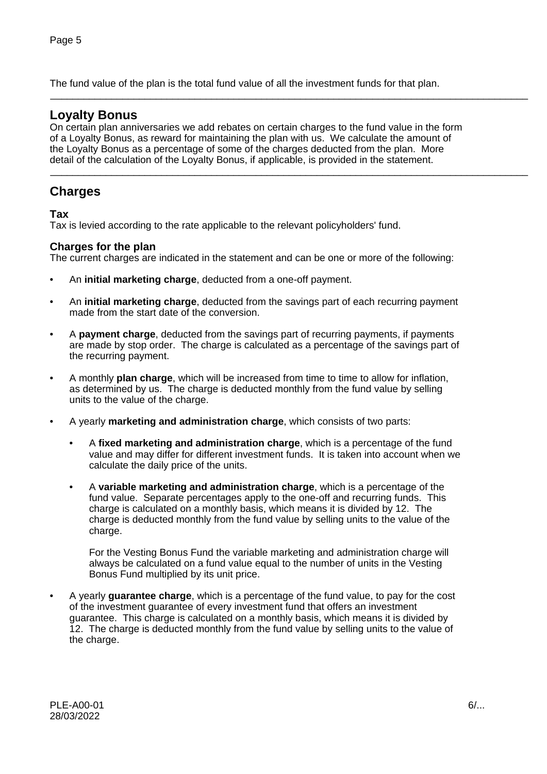The fund value of the plan is the total fund value of all the investment funds for that plan.

### **Loyalty Bonus**

On certain plan anniversaries we add rebates on certain charges to the fund value in the form of a Loyalty Bonus, as reward for maintaining the plan with us. We calculate the amount of the Loyalty Bonus as a percentage of some of the charges deducted from the plan. More detail of the calculation of the Loyalty Bonus, if applicable, is provided in the statement.

\_\_\_\_\_\_\_\_\_\_\_\_\_\_\_\_\_\_\_\_\_\_\_\_\_\_\_\_\_\_\_\_\_\_\_\_\_\_\_\_\_\_\_\_\_\_\_\_\_\_\_\_\_\_\_\_\_\_\_\_\_\_\_\_\_\_\_\_\_\_\_\_\_\_\_\_\_\_\_\_\_\_\_\_\_\_

\_\_\_\_\_\_\_\_\_\_\_\_\_\_\_\_\_\_\_\_\_\_\_\_\_\_\_\_\_\_\_\_\_\_\_\_\_\_\_\_\_\_\_\_\_\_\_\_\_\_\_\_\_\_\_\_\_\_\_\_\_\_\_\_\_\_\_\_\_\_\_\_\_\_\_\_\_\_\_\_\_\_\_\_\_\_

# **Charges**

### **Tax**

Tax is levied according to the rate applicable to the relevant policyholders' fund.

### **Charges for the plan**

The current charges are indicated in the statement and can be one or more of the following:

- An **initial marketing charge**, deducted from a one-off payment.
- An **initial marketing charge**, deducted from the savings part of each recurring payment made from the start date of the conversion.
- A **payment charge**, deducted from the savings part of recurring payments, if payments are made by stop order. The charge is calculated as a percentage of the savings part of the recurring payment.
- A monthly **plan charge**, which will be increased from time to time to allow for inflation, as determined by us. The charge is deducted monthly from the fund value by selling units to the value of the charge.
- A yearly **marketing and administration charge**, which consists of two parts:
	- A **fixed marketing and administration charge**, which is a percentage of the fund value and may differ for different investment funds. It is taken into account when we calculate the daily price of the units.
	- A **variable marketing and administration charge**, which is a percentage of the fund value. Separate percentages apply to the one-off and recurring funds. This charge is calculated on a monthly basis, which means it is divided by 12. The charge is deducted monthly from the fund value by selling units to the value of the charge.

For the Vesting Bonus Fund the variable marketing and administration charge will always be calculated on a fund value equal to the number of units in the Vesting Bonus Fund multiplied by its unit price.

• A yearly **guarantee charge**, which is a percentage of the fund value, to pay for the cost of the investment guarantee of every investment fund that offers an investment guarantee. This charge is calculated on a monthly basis, which means it is divided by 12. The charge is deducted monthly from the fund value by selling units to the value of the charge.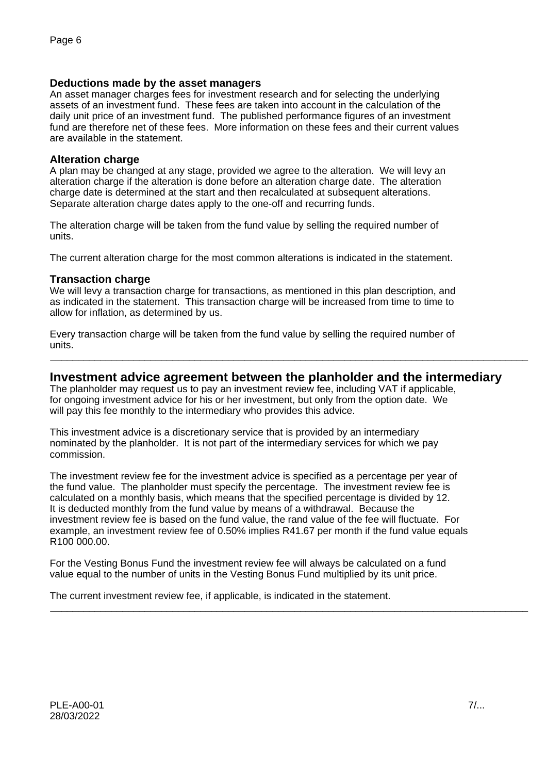### **Deductions made by the asset managers**

An asset manager charges fees for investment research and for selecting the underlying assets of an investment fund. These fees are taken into account in the calculation of the daily unit price of an investment fund. The published performance figures of an investment fund are therefore net of these fees. More information on these fees and their current values are available in the statement.

### **Alteration charge**

A plan may be changed at any stage, provided we agree to the alteration. We will levy an alteration charge if the alteration is done before an alteration charge date. The alteration charge date is determined at the start and then recalculated at subsequent alterations. Separate alteration charge dates apply to the one-off and recurring funds.

The alteration charge will be taken from the fund value by selling the required number of units.

The current alteration charge for the most common alterations is indicated in the statement.

### **Transaction charge**

We will levy a transaction charge for transactions, as mentioned in this plan description, and as indicated in the statement. This transaction charge will be increased from time to time to allow for inflation, as determined by us.

Every transaction charge will be taken from the fund value by selling the required number of units.

### **Investment advice agreement between the planholder and the intermediary**

\_\_\_\_\_\_\_\_\_\_\_\_\_\_\_\_\_\_\_\_\_\_\_\_\_\_\_\_\_\_\_\_\_\_\_\_\_\_\_\_\_\_\_\_\_\_\_\_\_\_\_\_\_\_\_\_\_\_\_\_\_\_\_\_\_\_\_\_\_\_\_\_\_\_\_\_\_\_\_\_\_\_\_\_\_\_

The planholder may request us to pay an investment review fee, including VAT if applicable, for ongoing investment advice for his or her investment, but only from the option date. We will pay this fee monthly to the intermediary who provides this advice.

This investment advice is a discretionary service that is provided by an intermediary nominated by the planholder. It is not part of the intermediary services for which we pay commission.

The investment review fee for the investment advice is specified as a percentage per year of the fund value. The planholder must specify the percentage. The investment review fee is calculated on a monthly basis, which means that the specified percentage is divided by 12. It is deducted monthly from the fund value by means of a withdrawal. Because the investment review fee is based on the fund value, the rand value of the fee will fluctuate. For example, an investment review fee of 0.50% implies R41.67 per month if the fund value equals R100 000.00.

For the Vesting Bonus Fund the investment review fee will always be calculated on a fund value equal to the number of units in the Vesting Bonus Fund multiplied by its unit price.

The current investment review fee, if applicable, is indicated in the statement. \_\_\_\_\_\_\_\_\_\_\_\_\_\_\_\_\_\_\_\_\_\_\_\_\_\_\_\_\_\_\_\_\_\_\_\_\_\_\_\_\_\_\_\_\_\_\_\_\_\_\_\_\_\_\_\_\_\_\_\_\_\_\_\_\_\_\_\_\_\_\_\_\_\_\_\_\_\_\_\_\_\_\_\_\_\_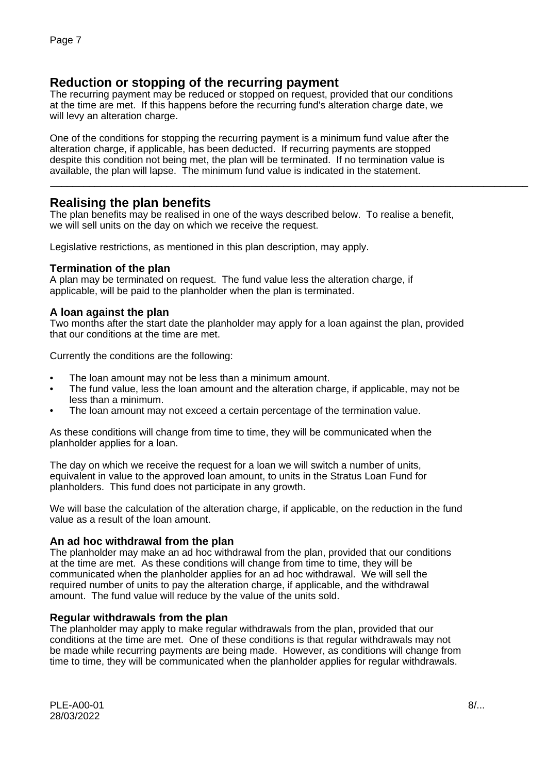# **Reduction or stopping of the recurring payment**

The recurring payment may be reduced or stopped on request, provided that our conditions at the time are met. If this happens before the recurring fund's alteration charge date, we will levy an alteration charge.

One of the conditions for stopping the recurring payment is a minimum fund value after the alteration charge, if applicable, has been deducted. If recurring payments are stopped despite this condition not being met, the plan will be terminated. If no termination value is available, the plan will lapse. The minimum fund value is indicated in the statement.

## **Realising the plan benefits**

The plan benefits may be realised in one of the ways described below. To realise a benefit, we will sell units on the day on which we receive the request.

\_\_\_\_\_\_\_\_\_\_\_\_\_\_\_\_\_\_\_\_\_\_\_\_\_\_\_\_\_\_\_\_\_\_\_\_\_\_\_\_\_\_\_\_\_\_\_\_\_\_\_\_\_\_\_\_\_\_\_\_\_\_\_\_\_\_\_\_\_\_\_\_\_\_\_\_\_\_\_\_\_\_\_\_\_\_

Legislative restrictions, as mentioned in this plan description, may apply.

### **Termination of the plan**

A plan may be terminated on request. The fund value less the alteration charge, if applicable, will be paid to the planholder when the plan is terminated.

### **A loan against the plan**

Two months after the start date the planholder may apply for a loan against the plan, provided that our conditions at the time are met.

Currently the conditions are the following:

- The loan amount may not be less than a minimum amount.
- The fund value, less the loan amount and the alteration charge, if applicable, may not be less than a minimum.
- The loan amount may not exceed a certain percentage of the termination value.

As these conditions will change from time to time, they will be communicated when the planholder applies for a loan.

The day on which we receive the request for a loan we will switch a number of units, equivalent in value to the approved loan amount, to units in the Stratus Loan Fund for planholders. This fund does not participate in any growth.

We will base the calculation of the alteration charge, if applicable, on the reduction in the fund value as a result of the loan amount.

#### **An ad hoc withdrawal from the plan**

The planholder may make an ad hoc withdrawal from the plan, provided that our conditions at the time are met. As these conditions will change from time to time, they will be communicated when the planholder applies for an ad hoc withdrawal. We will sell the required number of units to pay the alteration charge, if applicable, and the withdrawal amount. The fund value will reduce by the value of the units sold.

#### **Regular withdrawals from the plan**

The planholder may apply to make regular withdrawals from the plan, provided that our conditions at the time are met. One of these conditions is that regular withdrawals may not be made while recurring payments are being made. However, as conditions will change from time to time, they will be communicated when the planholder applies for regular withdrawals.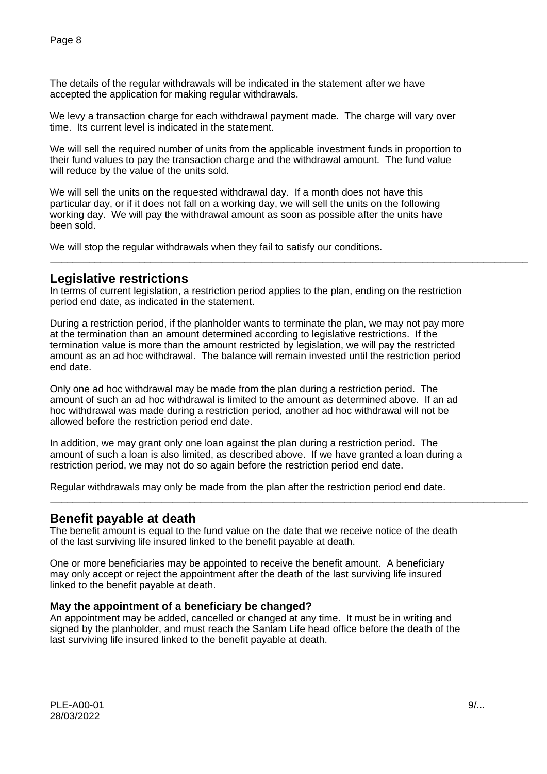The details of the regular withdrawals will be indicated in the statement after we have accepted the application for making regular withdrawals.

We levy a transaction charge for each withdrawal payment made. The charge will vary over time. Its current level is indicated in the statement.

We will sell the required number of units from the applicable investment funds in proportion to their fund values to pay the transaction charge and the withdrawal amount. The fund value will reduce by the value of the units sold.

We will sell the units on the requested withdrawal day. If a month does not have this particular day, or if it does not fall on a working day, we will sell the units on the following working day. We will pay the withdrawal amount as soon as possible after the units have been sold.

We will stop the regular withdrawals when they fail to satisfy our conditions.

### **Legislative restrictions**

In terms of current legislation, a restriction period applies to the plan, ending on the restriction period end date, as indicated in the statement.

\_\_\_\_\_\_\_\_\_\_\_\_\_\_\_\_\_\_\_\_\_\_\_\_\_\_\_\_\_\_\_\_\_\_\_\_\_\_\_\_\_\_\_\_\_\_\_\_\_\_\_\_\_\_\_\_\_\_\_\_\_\_\_\_\_\_\_\_\_\_\_\_\_\_\_\_\_\_\_\_\_\_\_\_\_\_

During a restriction period, if the planholder wants to terminate the plan, we may not pay more at the termination than an amount determined according to legislative restrictions. If the termination value is more than the amount restricted by legislation, we will pay the restricted amount as an ad hoc withdrawal. The balance will remain invested until the restriction period end date.

Only one ad hoc withdrawal may be made from the plan during a restriction period. The amount of such an ad hoc withdrawal is limited to the amount as determined above. If an ad hoc withdrawal was made during a restriction period, another ad hoc withdrawal will not be allowed before the restriction period end date.

In addition, we may grant only one loan against the plan during a restriction period. The amount of such a loan is also limited, as described above. If we have granted a loan during a restriction period, we may not do so again before the restriction period end date.

\_\_\_\_\_\_\_\_\_\_\_\_\_\_\_\_\_\_\_\_\_\_\_\_\_\_\_\_\_\_\_\_\_\_\_\_\_\_\_\_\_\_\_\_\_\_\_\_\_\_\_\_\_\_\_\_\_\_\_\_\_\_\_\_\_\_\_\_\_\_\_\_\_\_\_\_\_\_\_\_\_\_\_\_\_\_

Regular withdrawals may only be made from the plan after the restriction period end date.

### **Benefit payable at death**

The benefit amount is equal to the fund value on the date that we receive notice of the death of the last surviving life insured linked to the benefit payable at death.

One or more beneficiaries may be appointed to receive the benefit amount. A beneficiary may only accept or reject the appointment after the death of the last surviving life insured linked to the benefit payable at death.

### **May the appointment of a beneficiary be changed?**

An appointment may be added, cancelled or changed at any time. It must be in writing and signed by the planholder, and must reach the Sanlam Life head office before the death of the last surviving life insured linked to the benefit payable at death.